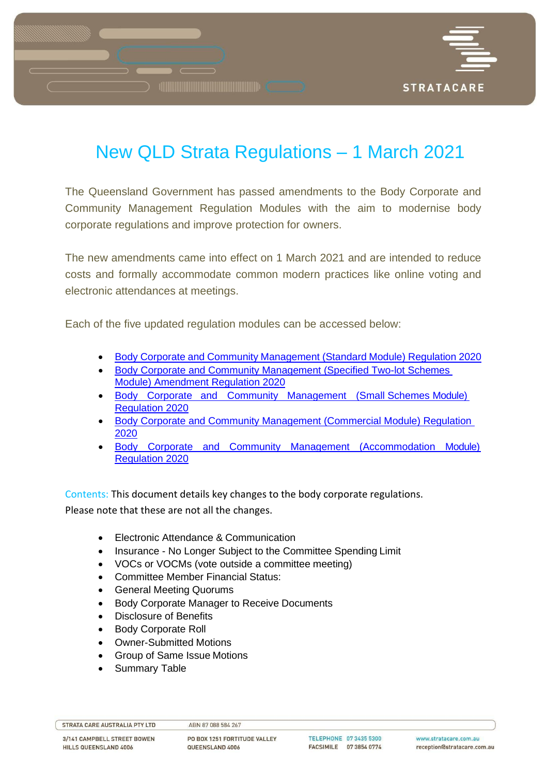

# New QLD Strata Regulations – 1 March 2021

The Queensland Government has passed amendments to the Body Corporate and Community Management Regulation Modules with the aim to modernise body corporate regulations and improve protection for owners.

The new amendments came into effect on 1 March 2021 and are intended to reduce costs and formally accommodate common modern practices like online voting and electronic attendances at meetings.

Each of the five updated regulation modules can be accessed below:

- Body Corporate and Community [Management](https://www.legislation.qld.gov.au/view/html/asmade/sl-2020-0233) (Standard Module) Regulation 2020
- [Body Corporate and Community Management \(Specified Two-lot Schemes](https://www.legislation.qld.gov.au/view/html/asmade/sl-2020-0232) [Module\) Amendment Regulation](https://www.legislation.qld.gov.au/view/html/asmade/sl-2020-0232) 2020
- Body [Corporate and Community Management](https://www.legislation.qld.gov.au/view/html/asmade/sl-2020-0231) (Small Schemes Module[\)](https://www.legislation.qld.gov.au/view/html/asmade/sl-2020-0231) [Regulation 2020](https://www.legislation.qld.gov.au/view/html/asmade/sl-2020-0231)
- [Body Corporate and Community Management \(Commercial Module\) Regulation](https://www.legislation.qld.gov.au/view/html/asmade/sl-2020-0230) [2020](https://www.legislation.qld.gov.au/view/html/asmade/sl-2020-0230)
- Body Corporate and Community Management [\(Accommodation](https://www.legislation.qld.gov.au/view/html/asmade/sl-2020-0229) Module[\)](https://www.legislation.qld.gov.au/view/html/asmade/sl-2020-0229) [Regulation 2020](https://www.legislation.qld.gov.au/view/html/asmade/sl-2020-0229)

Contents: This document details key changes to the body corporate regulations. Please note that these are not all the changes.

- Electronic Attendance & Communication
- Insurance No Longer Subject to the Committee Spending Limit
- VOCs or VOCMs (vote outside a committee meeting)
- Committee Member Financial Status:
- General Meeting Quorums
- Body Corporate Manager to Receive Documents
- Disclosure of Benefits
- Body Corporate Roll
- Owner-Submitted Motions
- Group of Same Issue Motions
- Summary Table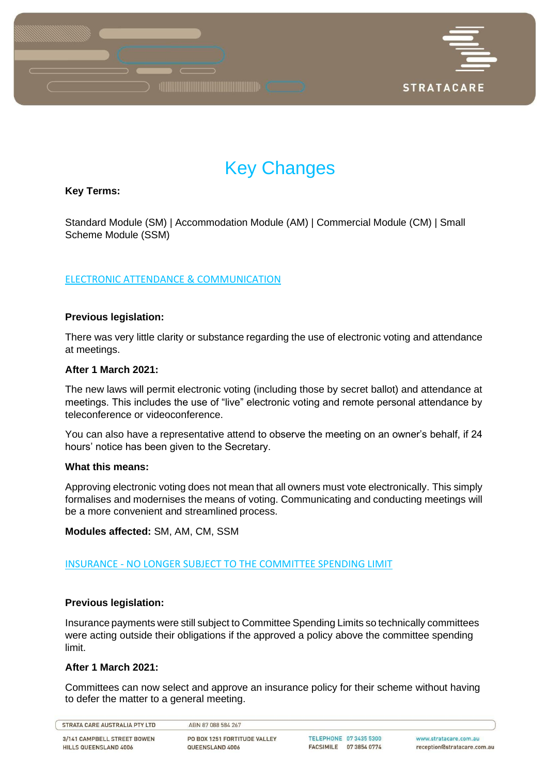

# Key Changes

# **Key Terms:**

Standard Module (SM) | Accommodation Module (AM) | Commercial Module (CM) | Small Scheme Module (SSM)

# ELECTRONIC ATTENDANCE & COMMUNICATION

# **Previous legislation:**

There was very little clarity or substance regarding the use of electronic voting and attendance at meetings.

# **After 1 March 2021:**

The new laws will permit electronic voting (including those by secret ballot) and attendance at meetings. This includes the use of "live" electronic voting and remote personal attendance by teleconference or videoconference.

You can also have a representative attend to observe the meeting on an owner's behalf, if 24 hours' notice has been given to the Secretary.

# **What this means:**

Approving electronic voting does not mean that all owners must vote electronically. This simply formalises and modernises the means of voting. Communicating and conducting meetings will be a more convenient and streamlined process.

**Modules affected:** SM, AM, CM, SSM

# INSURANCE - NO LONGER SUBJECT TO THE COMMITTEE SPENDING LIMIT

# **Previous legislation:**

Insurance payments were still subject to Committee Spending Limits so technically committees were acting outside their obligations if the approved a policy above the committee spending limit.

# **After 1 March 2021:**

Committees can now select and approve an insurance policy for their scheme without having to defer the matter to a general meeting.

STRATA CARE AUSTRALIA PTY LTD

3/141 CAMPBELL STREET BOWEN HILLS QUEENSLAND 4006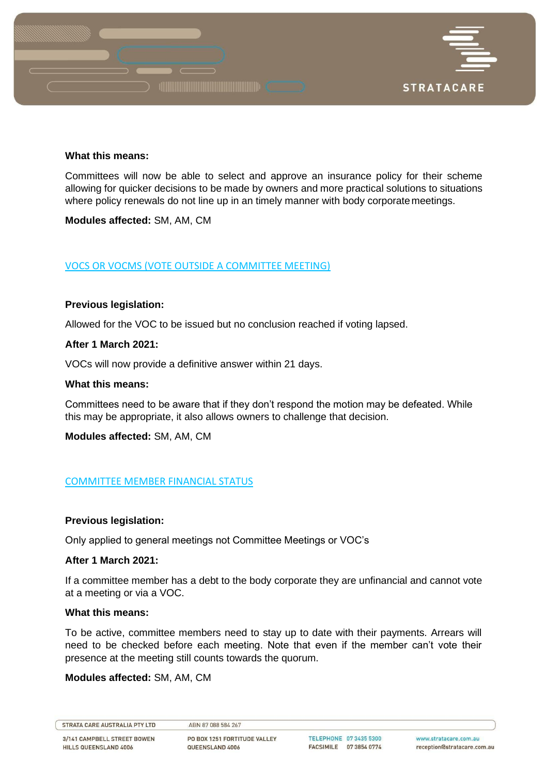

### **What this means:**

Committees will now be able to select and approve an insurance policy for their scheme allowing for quicker decisions to be made by owners and more practical solutions to situations where policy renewals do not line up in an timely manner with body corporate meetings.

**Modules affected:** SM, AM, CM

# VOCS OR VOCMS (VOTE OUTSIDE A COMMITTEE MEETING)

# **Previous legislation:**

Allowed for the VOC to be issued but no conclusion reached if voting lapsed.

# **After 1 March 2021:**

VOCs will now provide a definitive answer within 21 days.

# **What this means:**

Committees need to be aware that if they don't respond the motion may be defeated. While this may be appropriate, it also allows owners to challenge that decision.

**Modules affected:** SM, AM, CM

# COMMITTEE MEMBER FINANCIAL STATUS

# **Previous legislation:**

Only applied to general meetings not Committee Meetings or VOC's

# **After 1 March 2021:**

If a committee member has a debt to the body corporate they are unfinancial and cannot vote at a meeting or via a VOC.

# **What this means:**

To be active, committee members need to stay up to date with their payments. Arrears will need to be checked before each meeting. Note that even if the member can't vote their presence at the meeting still counts towards the quorum.

# **Modules affected:** SM, AM, CM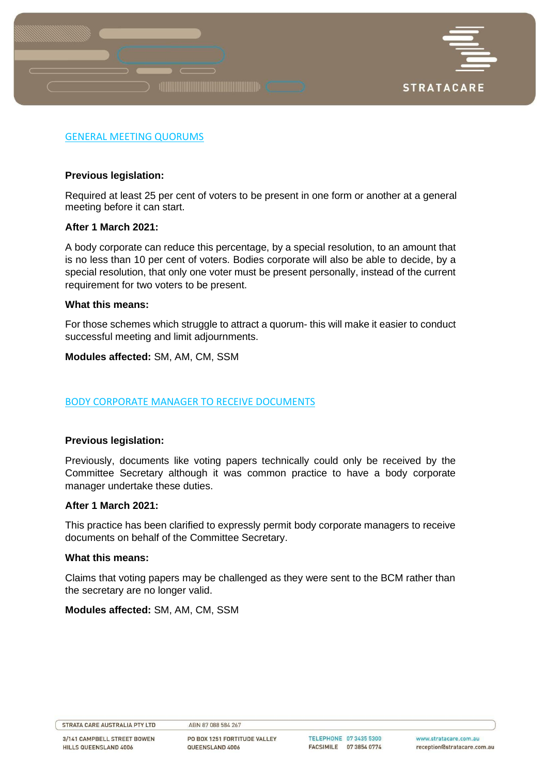

# GENERAL MEETING QUORUMS

# **Previous legislation:**

Required at least 25 per cent of voters to be present in one form or another at a general meeting before it can start.

# **After 1 March 2021:**

A body corporate can reduce this percentage, by a special resolution, to an amount that is no less than 10 per cent of voters. Bodies corporate will also be able to decide, by a special resolution, that only one voter must be present personally, instead of the current requirement for two voters to be present.

# **What this means:**

For those schemes which struggle to attract a quorum- this will make it easier to conduct successful meeting and limit adjournments.

# **Modules affected:** SM, AM, CM, SSM

# BODY CORPORATE MANAGER TO RECEIVE DOCUMENTS

# **Previous legislation:**

Previously, documents like voting papers technically could only be received by the Committee Secretary although it was common practice to have a body corporate manager undertake these duties.

# **After 1 March 2021:**

This practice has been clarified to expressly permit body corporate managers to receive documents on behalf of the Committee Secretary.

### **What this means:**

Claims that voting papers may be challenged as they were sent to the BCM rather than the secretary are no longer valid.

# **Modules affected:** SM, AM, CM, SSM

#### STRATA CARE AUSTRALIA PTY LTD

3/141 CAMPBELL STREET BOWEN HILLS QUEENSLAND 4006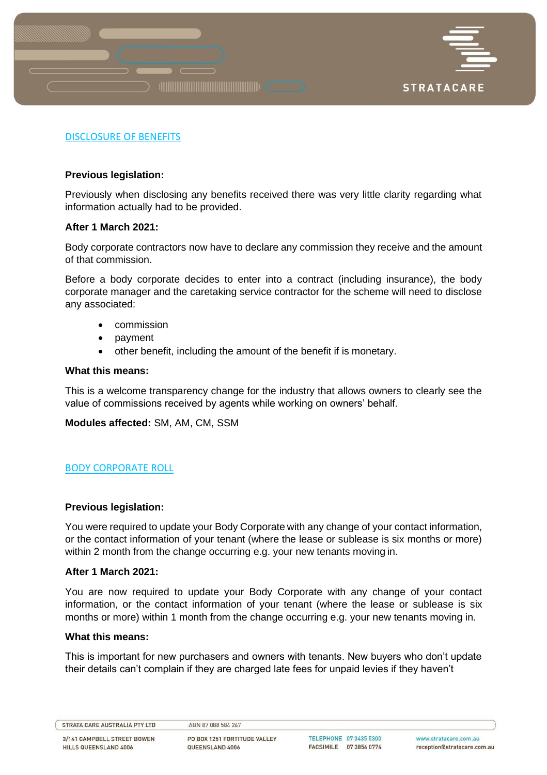

# DISCLOSURE OF BENEFITS

# **Previous legislation:**

Previously when disclosing any benefits received there was very little clarity regarding what information actually had to be provided.

# **After 1 March 2021:**

Body corporate contractors now have to declare any commission they receive and the amount of that commission.

Before a body corporate decides to enter into a contract (including insurance), the body corporate manager and the caretaking service contractor for the scheme will need to disclose any associated:

- commission
- payment
- other benefit, including the amount of the benefit if is monetary.

# **What this means:**

This is a welcome transparency change for the industry that allows owners to clearly see the value of commissions received by agents while working on owners' behalf.

**Modules affected:** SM, AM, CM, SSM

# BODY CORPORATE ROLL

# **Previous legislation:**

You were required to update your Body Corporate with any change of your contact information, or the contact information of your tenant (where the lease or sublease is six months or more) within 2 month from the change occurring e.g. your new tenants moving in.

# **After 1 March 2021:**

You are now required to update your Body Corporate with any change of your contact information, or the contact information of your tenant (where the lease or sublease is six months or more) within 1 month from the change occurring e.g. your new tenants moving in.

# **What this means:**

This is important for new purchasers and owners with tenants. New buyers who don't update their details can't complain if they are charged late fees for unpaid levies if they haven't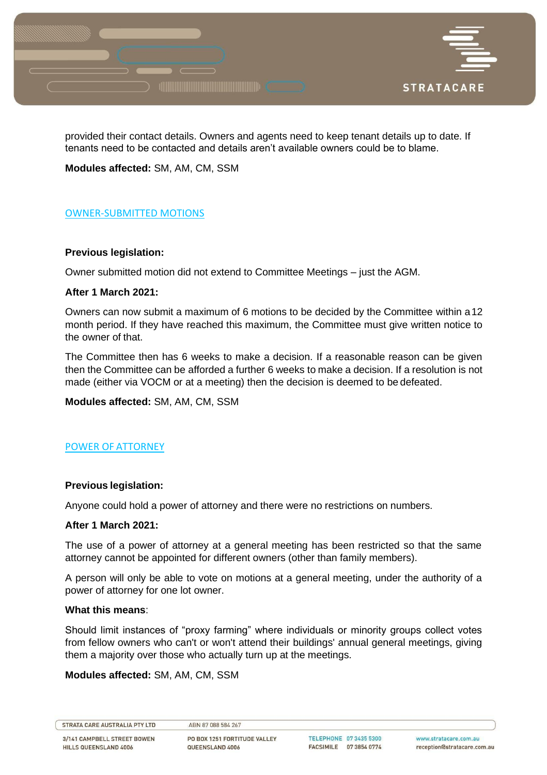

provided their contact details. Owners and agents need to keep tenant details up to date. If tenants need to be contacted and details aren't available owners could be to blame.

**Modules affected:** SM, AM, CM, SSM

# OWNER-SUBMITTED MOTIONS

# **Previous legislation:**

Owner submitted motion did not extend to Committee Meetings – just the AGM.

# **After 1 March 2021:**

Owners can now submit a maximum of 6 motions to be decided by the Committee within a12 month period. If they have reached this maximum, the Committee must give written notice to the owner of that.

The Committee then has 6 weeks to make a decision. If a reasonable reason can be given then the Committee can be afforded a further 6 weeks to make a decision. If a resolution is not made (either via VOCM or at a meeting) then the decision is deemed to be defeated.

**Modules affected:** SM, AM, CM, SSM

# POWER OF ATTORNEY

# **Previous legislation:**

Anyone could hold a power of attorney and there were no restrictions on numbers.

# **After 1 March 2021:**

The use of a power of attorney at a general meeting has been restricted so that the same attorney cannot be appointed for different owners (other than family members).

A person will only be able to vote on motions at a general meeting, under the authority of a power of attorney for one lot owner.

# **What this means**:

Should limit instances of "proxy farming" where individuals or minority groups collect votes from fellow owners who can't or won't attend their buildings' annual general meetings, giving them a majority over those who actually turn up at the meetings.

# **Modules affected:** SM, AM, CM, SSM

STRATA CARE AUSTRALIA PTY LTD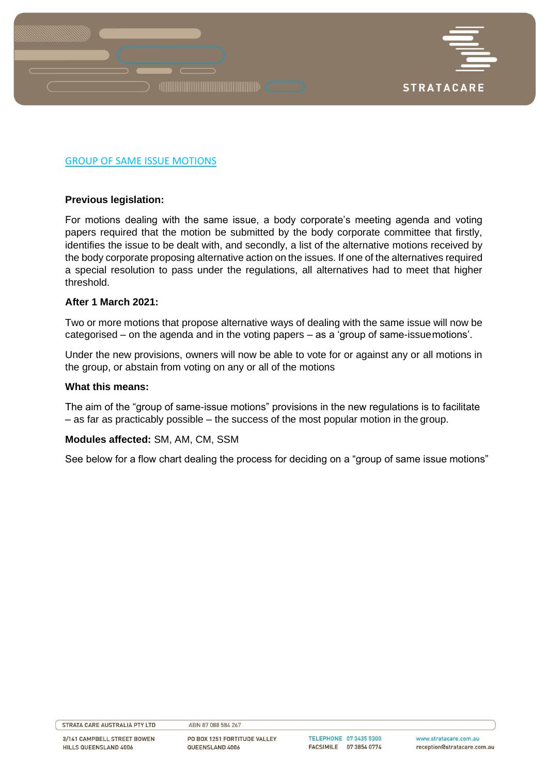

# GROUP OF SAME ISSUE MOTIONS

# **Previous legislation:**

For motions dealing with the same issue, a body corporate's meeting agenda and voting papers required that the motion be submitted by the body corporate committee that firstly, identifies the issue to be dealt with, and secondly, a list of the alternative motions received by the body corporate proposing alternative action on the issues. If one of the alternatives required a special resolution to pass under the regulations, all alternatives had to meet that higher threshold.

### **After 1 March 2021:**

Two or more motions that propose alternative ways of dealing with the same issue will now be categorised – on the agenda and in the voting papers – as a 'group of same-issuemotions'.

Under the new provisions, owners will now be able to vote for or against any or all motions in the group, or abstain from voting on any or all of the motions

### **What this means:**

The aim of the "group of same-issue motions" provisions in the new regulations is to facilitate – as far as practicably possible – the success of the most popular motion in the group.

# **Modules affected:** SM, AM, CM, SSM

See below for a flow chart dealing the process for deciding on a "group of same issue motions"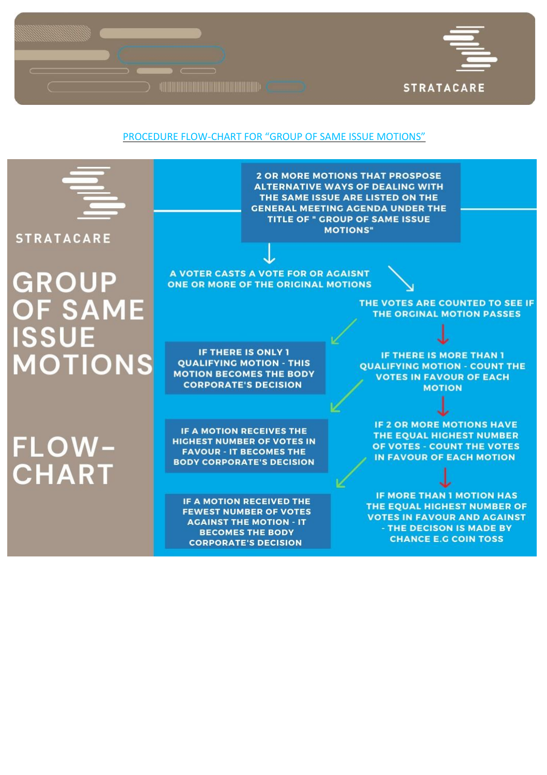

# PROCEDURE FLOW-CHART FOR "GROUP OF SAME ISSUE MOTIONS"

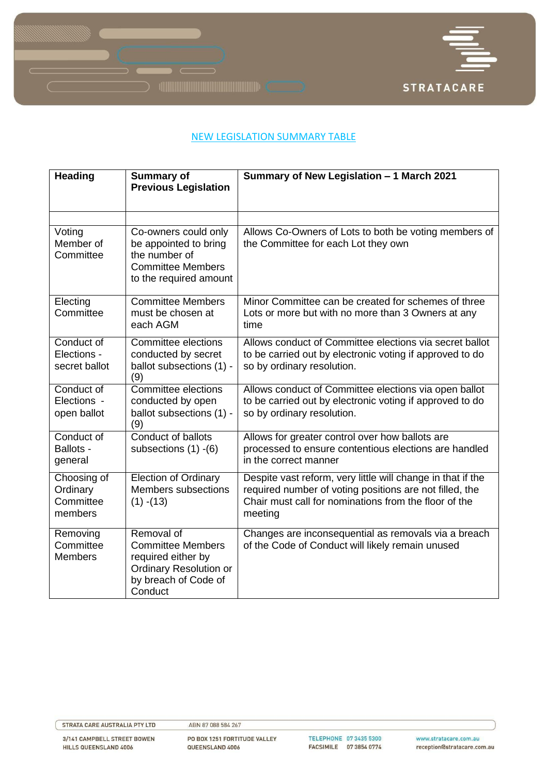



# **NEW LEGISLATION SUMMARY TABLE**

| <b>Heading</b>                                  | <b>Summary of</b><br><b>Previous Legislation</b>                                                                                 | Summary of New Legislation - 1 March 2021                                                                                                                                                  |
|-------------------------------------------------|----------------------------------------------------------------------------------------------------------------------------------|--------------------------------------------------------------------------------------------------------------------------------------------------------------------------------------------|
|                                                 |                                                                                                                                  |                                                                                                                                                                                            |
|                                                 |                                                                                                                                  |                                                                                                                                                                                            |
| Voting<br>Member of<br>Committee                | Co-owners could only<br>be appointed to bring<br>the number of<br><b>Committee Members</b><br>to the required amount             | Allows Co-Owners of Lots to both be voting members of<br>the Committee for each Lot they own                                                                                               |
| Electing<br>Committee                           | <b>Committee Members</b><br>must be chosen at<br>each AGM                                                                        | Minor Committee can be created for schemes of three<br>Lots or more but with no more than 3 Owners at any<br>time                                                                          |
| Conduct of<br>Elections -<br>secret ballot      | <b>Committee elections</b><br>conducted by secret<br>ballot subsections (1) -<br>(9)                                             | Allows conduct of Committee elections via secret ballot<br>to be carried out by electronic voting if approved to do<br>so by ordinary resolution.                                          |
| Conduct of<br>Elections -<br>open ballot        | Committee elections<br>conducted by open<br>ballot subsections (1) -<br>(9)                                                      | Allows conduct of Committee elections via open ballot<br>to be carried out by electronic voting if approved to do<br>so by ordinary resolution.                                            |
| Conduct of<br>Ballots -<br>general              | Conduct of ballots<br>subsections $(1) - (6)$                                                                                    | Allows for greater control over how ballots are<br>processed to ensure contentious elections are handled<br>in the correct manner                                                          |
| Choosing of<br>Ordinary<br>Committee<br>members | <b>Election of Ordinary</b><br>Members subsections<br>$(1) - (13)$                                                               | Despite vast reform, very little will change in that if the<br>required number of voting positions are not filled, the<br>Chair must call for nominations from the floor of the<br>meeting |
| Removing<br>Committee<br><b>Members</b>         | Removal of<br><b>Committee Members</b><br>required either by<br><b>Ordinary Resolution or</b><br>by breach of Code of<br>Conduct | Changes are inconsequential as removals via a breach<br>of the Code of Conduct will likely remain unused                                                                                   |

3/141 CAMPBELL STREET BOWEN HILLS QUEENSLAND 4006

PO BOX 1251 FORTITUDE VALLEY QUEENSLAND 4006

TELEPHONE 07 3435 5300 FACSIMILE 07 3854 0774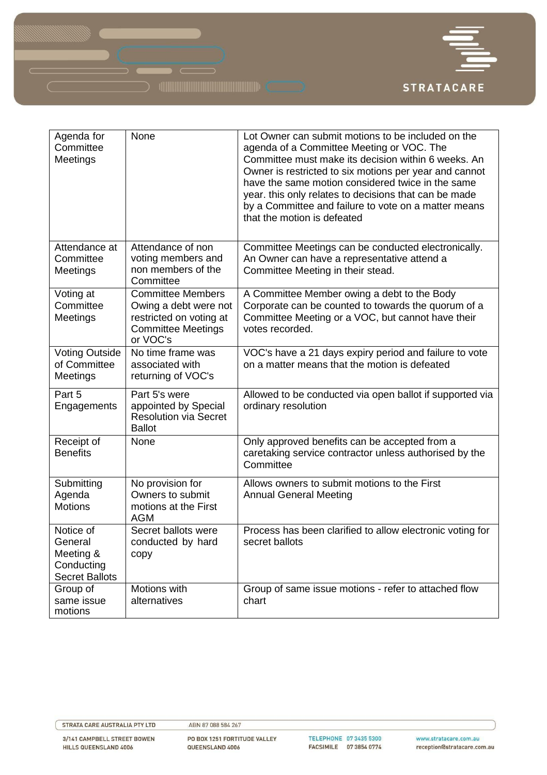

| Agenda for<br>Committee<br>Meetings                                      | None                                                                                                                  | Lot Owner can submit motions to be included on the<br>agenda of a Committee Meeting or VOC. The<br>Committee must make its decision within 6 weeks. An<br>Owner is restricted to six motions per year and cannot<br>have the same motion considered twice in the same<br>year. this only relates to decisions that can be made<br>by a Committee and failure to vote on a matter means<br>that the motion is defeated |
|--------------------------------------------------------------------------|-----------------------------------------------------------------------------------------------------------------------|-----------------------------------------------------------------------------------------------------------------------------------------------------------------------------------------------------------------------------------------------------------------------------------------------------------------------------------------------------------------------------------------------------------------------|
| Attendance at<br>Committee<br>Meetings                                   | Attendance of non<br>voting members and<br>non members of the<br>Committee                                            | Committee Meetings can be conducted electronically.<br>An Owner can have a representative attend a<br>Committee Meeting in their stead.                                                                                                                                                                                                                                                                               |
| Voting at<br>Committee<br>Meetings                                       | <b>Committee Members</b><br>Owing a debt were not<br>restricted on voting at<br><b>Committee Meetings</b><br>or VOC's | A Committee Member owing a debt to the Body<br>Corporate can be counted to towards the quorum of a<br>Committee Meeting or a VOC, but cannot have their<br>votes recorded.                                                                                                                                                                                                                                            |
| <b>Voting Outside</b><br>of Committee<br>Meetings                        | No time frame was<br>associated with<br>returning of VOC's                                                            | VOC's have a 21 days expiry period and failure to vote<br>on a matter means that the motion is defeated                                                                                                                                                                                                                                                                                                               |
| Part 5<br>Engagements                                                    | Part 5's were<br>appointed by Special<br><b>Resolution via Secret</b><br><b>Ballot</b>                                | Allowed to be conducted via open ballot if supported via<br>ordinary resolution                                                                                                                                                                                                                                                                                                                                       |
| Receipt of<br><b>Benefits</b>                                            | None                                                                                                                  | Only approved benefits can be accepted from a<br>caretaking service contractor unless authorised by the<br>Committee                                                                                                                                                                                                                                                                                                  |
| Submitting<br>Agenda<br><b>Motions</b>                                   | No provision for<br>Owners to submit<br>motions at the First<br><b>AGM</b>                                            | Allows owners to submit motions to the First<br><b>Annual General Meeting</b>                                                                                                                                                                                                                                                                                                                                         |
| Notice of<br>General<br>Meeting &<br>Conducting<br><b>Secret Ballots</b> | Secret ballots were<br>conducted by hard<br>copy                                                                      | Process has been clarified to allow electronic voting for<br>secret ballots                                                                                                                                                                                                                                                                                                                                           |
| Group of<br>same issue<br>motions                                        | Motions with<br>alternatives                                                                                          | Group of same issue motions - refer to attached flow<br>chart                                                                                                                                                                                                                                                                                                                                                         |

STRATA CARE AUSTRALIA PTY LTD

3/141 CAMPBELL STREET BOWEN HILLS QUEENSLAND 4006

ABN 87 088 584 267

PO BOX 1251 FORTITUDE VALLEY QUEENSLAND 4006

TELEPHONE 07 3435 5300 FACSIMILE 07 3854 0774

www.stratacare.com.au reception@stratacare.com.au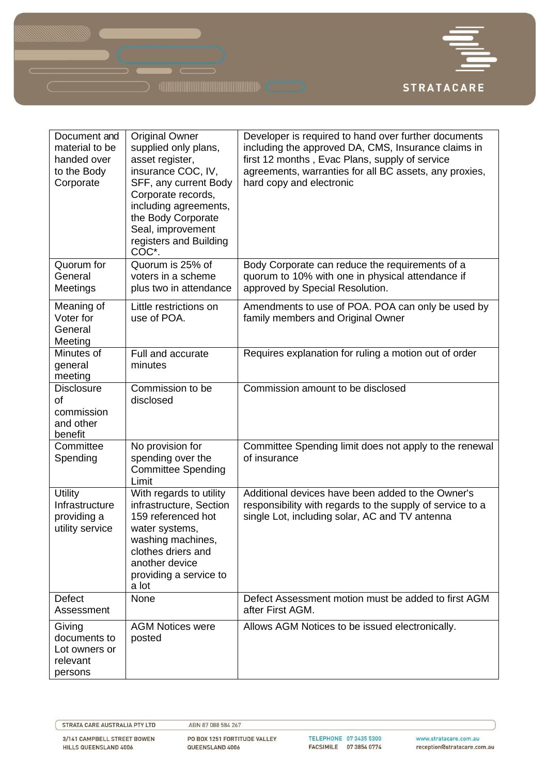

| Document and<br>material to be<br>handed over<br>to the Body<br>Corporate | <b>Original Owner</b><br>supplied only plans,<br>asset register,<br>insurance COC, IV,<br>SFF, any current Body<br>Corporate records,<br>including agreements,<br>the Body Corporate<br>Seal, improvement<br>registers and Building<br>COC*. | Developer is required to hand over further documents<br>including the approved DA, CMS, Insurance claims in<br>first 12 months, Evac Plans, supply of service<br>agreements, warranties for all BC assets, any proxies,<br>hard copy and electronic |
|---------------------------------------------------------------------------|----------------------------------------------------------------------------------------------------------------------------------------------------------------------------------------------------------------------------------------------|-----------------------------------------------------------------------------------------------------------------------------------------------------------------------------------------------------------------------------------------------------|
| Quorum for<br>General<br>Meetings                                         | Quorum is 25% of<br>voters in a scheme<br>plus two in attendance                                                                                                                                                                             | Body Corporate can reduce the requirements of a<br>quorum to 10% with one in physical attendance if<br>approved by Special Resolution.                                                                                                              |
| Meaning of<br>Voter for<br>General<br>Meeting                             | Little restrictions on<br>use of POA.                                                                                                                                                                                                        | Amendments to use of POA. POA can only be used by<br>family members and Original Owner                                                                                                                                                              |
| Minutes of<br>general<br>meeting                                          | Full and accurate<br>minutes                                                                                                                                                                                                                 | Requires explanation for ruling a motion out of order                                                                                                                                                                                               |
| <b>Disclosure</b><br>of<br>commission<br>and other<br>benefit             | Commission to be<br>disclosed                                                                                                                                                                                                                | Commission amount to be disclosed                                                                                                                                                                                                                   |
| Committee<br>Spending                                                     | No provision for<br>spending over the<br><b>Committee Spending</b><br>Limit                                                                                                                                                                  | Committee Spending limit does not apply to the renewal<br>of insurance                                                                                                                                                                              |
| <b>Utility</b><br>Infrastructure<br>providing a<br>utility service        | With regards to utility<br>infrastructure, Section<br>159 referenced hot<br>water systems,<br>washing machines,<br>clothes driers and<br>another device<br>providing a service to<br>a lot                                                   | Additional devices have been added to the Owner's<br>responsibility with regards to the supply of service to a<br>single Lot, including solar, AC and TV antenna                                                                                    |
| Defect<br>Assessment                                                      | None                                                                                                                                                                                                                                         | Defect Assessment motion must be added to first AGM<br>after First AGM.                                                                                                                                                                             |
| Giving<br>documents to<br>Lot owners or<br>relevant<br>persons            | <b>AGM Notices were</b><br>posted                                                                                                                                                                                                            | Allows AGM Notices to be issued electronically.                                                                                                                                                                                                     |

STRATA CARE AUSTRALIA PTY LTD

3/141 CAMPBELL STREET BOWEN HILLS QUEENSLAND 4006

ABN 87 088 584 267

PO BOX 1251 FORTITUDE VALLEY QUEENSLAND 4006

TELEPHONE 07 3435 5300 FACSIMILE 07 3854 0774

www.stratacare.com.au reception@stratacare.com.au